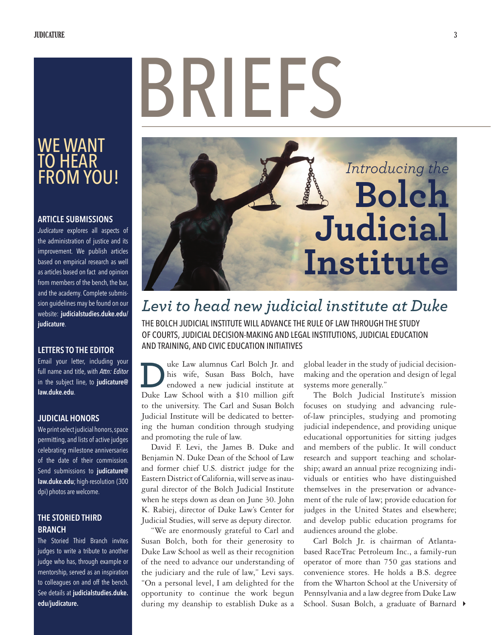# BRIFFS

### WE WANT TO HEAR FROM YOU!

### **ARTICLE SUBMISSIONS**

*Judicature* explores all aspects of the administration of justice and its improvement. We publish articles based on empirical research as well as articles based on fact and opinion from members of the bench, the bar, and the academy. Complete submission guidelines may be found on our website: **judicialstudies.duke.edu/ judicature**.

### **LETTERS TO THE EDITOR**

Email your letter, including your full name and title, with *Attn: Editor* in the subject line, to **judicature@ law.duke.edu**.

### **JUDICIAL HONORS**

We print select judicial honors, space permitting, and lists of active judges celebrating milestone anniversaries of the date of their commission. Send submissions to **judicature@ law.duke.edu**; high-resolution (300 dpi) photos are welcome.

### **THE STORIED THIRD BRANCH**

The Storied Third Branch invites judges to write a tribute to another judge who has, through example or mentorship, served as an inspiration to colleagues on and off the bench. See details at **judicialstudies.duke. edu/judicature.**

### *Introducing the*  **Bolch Judicial Institute**

### *Levi to head new judicial institute at Duke*

THE BOLCH JUDICIAL INSTITUTE WILL ADVANCE THE RULE OF LAW THROUGH THE STUDY OF COURTS, JUDICIAL DECISION-MAKING AND LEGAL INSTITUTIONS, JUDICIAL EDUCATION AND TRAINING, AND CIVIC EDUCATION INITIATIVES

uke Law alumnus Carl Bolch Jr. and his wife, Susan Bass Bolch, have endowed a new judicial institute at **Duke Law alumnus Carl Bolch Jr. and**<br>his wife, Susan Bass Bolch, have<br>endowed a new judicial institute at<br>Duke Law School with a \$10 million gift to the university. The Carl and Susan Bolch Judicial Institute will be dedicated to bettering the human condition through studying and promoting the rule of law.

David F. Levi, the James B. Duke and Benjamin N. Duke Dean of the School of Law and former chief U.S. district judge for the Eastern District of California, will serve as inaugural director of the Bolch Judicial Institute when he steps down as dean on June 30. John K. Rabiej, director of Duke Law's Center for Judicial Studies, will serve as deputy director.

"We are enormously grateful to Carl and Susan Bolch, both for their generosity to Duke Law School as well as their recognition of the need to advance our understanding of the judiciary and the rule of law," Levi says. "On a personal level, I am delighted for the opportunity to continue the work begun during my deanship to establish Duke as a

global leader in the study of judicial decisionmaking and the operation and design of legal systems more generally."

The Bolch Judicial Institute's mission focuses on studying and advancing ruleof-law principles, studying and promoting judicial independence, and providing unique educational opportunities for sitting judges and members of the public. It will conduct research and support teaching and scholarship; award an annual prize recognizing individuals or entities who have distinguished themselves in the preservation or advancement of the rule of law; provide education for judges in the United States and elsewhere; and develop public education programs for audiences around the globe.

School. Susan Bolch, a graduate of Barnard  $\blacktriangleright$ Carl Bolch Jr. is chairman of Atlantabased RaceTrac Petroleum Inc., a family-run operator of more than 750 gas stations and convenience stores. He holds a B.S. degree from the Wharton School at the University of Pennsylvania and a law degree from Duke Law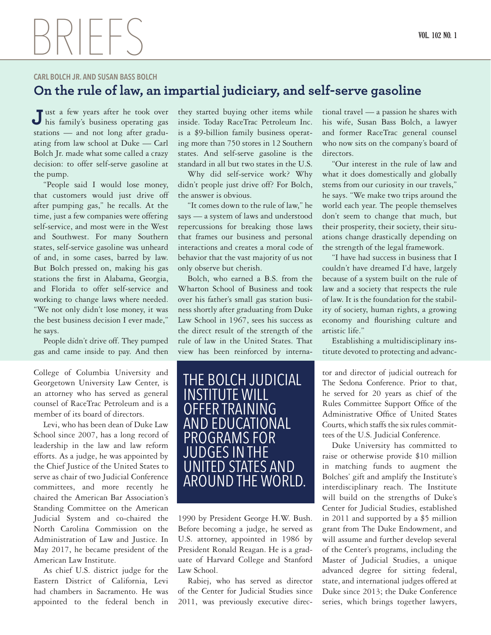## $\mathcal{P}$

### **CARL BOLCH JR. AND SUSAN BASS BOLCH**

### **On the rule of law, an impartial judiciary, and self-serve gasoline**

ust a few years after he took over his family's business operating gas **J**stations — and not long after graduating from law school at Duke — Carl Bolch Jr. made what some called a crazy decision: to offer self-serve gasoline at the pump.

"People said I would lose money, that customers would just drive off after pumping gas," he recalls. At the time, just a few companies were offering self-service, and most were in the West and Southwest. For many Southern states, self-service gasoline was unheard of and, in some cases, barred by law. But Bolch pressed on, making his gas stations the first in Alabama, Georgia, and Florida to offer self-service and working to change laws where needed. "We not only didn't lose money, it was the best business decision I ever made," he says.

People didn't drive off. They pumped gas and came inside to pay. And then

College of Columbia University and Georgetown University Law Center, is an attorney who has served as general counsel of RaceTrac Petroleum and is a member of its board of directors.

Levi, who has been dean of Duke Law School since 2007, has a long record of leadership in the law and law reform efforts. As a judge, he was appointed by the Chief Justice of the United States to serve as chair of two Judicial Conference committees, and more recently he chaired the American Bar Association's Standing Committee on the American Judicial System and co-chaired the North Carolina Commission on the Administration of Law and Justice. In May 2017, he became president of the American Law Institute.

As chief U.S. district judge for the Eastern District of California, Levi had chambers in Sacramento. He was appointed to the federal bench in

they started buying other items while inside. Today RaceTrac Petroleum Inc. is a \$9-billion family business operating more than 750 stores in 12 Southern states. And self-serve gasoline is the standard in all but two states in the U.S.

Why did self-service work? Why didn't people just drive off? For Bolch, the answer is obvious.

"It comes down to the rule of law," he says — a system of laws and understood repercussions for breaking those laws that frames our business and personal interactions and creates a moral code of behavior that the vast majority of us not only observe but cherish.

Bolch, who earned a B.S. from the Wharton School of Business and took over his father's small gas station business shortly after graduating from Duke Law School in 1967, sees his success as the direct result of the strength of the rule of law in the United States. That view has been reinforced by interna-



1990 by President George H.W. Bush. Before becoming a judge, he served as U.S. attorney, appointed in 1986 by President Ronald Reagan. He is a graduate of Harvard College and Stanford Law School.

Rabiej, who has served as director of the Center for Judicial Studies since 2011, was previously executive directional travel — a passion he shares with his wife, Susan Bass Bolch, a lawyer and former RaceTrac general counsel who now sits on the company's board of directors.

"Our interest in the rule of law and what it does domestically and globally stems from our curiosity in our travels," he says. "We make two trips around the world each year. The people themselves don't seem to change that much, but their prosperity, their society, their situations change drastically depending on the strength of the legal framework.

"I have had success in business that I couldn't have dreamed I'd have, largely because of a system built on the rule of law and a society that respects the rule of law. It is the foundation for the stability of society, human rights, a growing economy and flourishing culture and artistic life."

Establishing a multidisciplinary institute devoted to protecting and advanc-

tor and director of judicial outreach for The Sedona Conference. Prior to that, he served for 20 years as chief of the Rules Committee Support Office of the Administrative Office of United States Courts, which staffs the six rules committees of the U.S. Judicial Conference.

Duke University has committed to raise or otherwise provide \$10 million in matching funds to augment the Bolches' gift and amplify the Institute's interdisciplinary reach. The Institute will build on the strengths of Duke's Center for Judicial Studies, established in 2011 and supported by a \$5 million grant from The Duke Endowment, and will assume and further develop several of the Center's programs, including the Master of Judicial Studies, a unique advanced degree for sitting federal, state, and international judges offered at Duke since 2013; the Duke Conference series, which brings together lawyers,